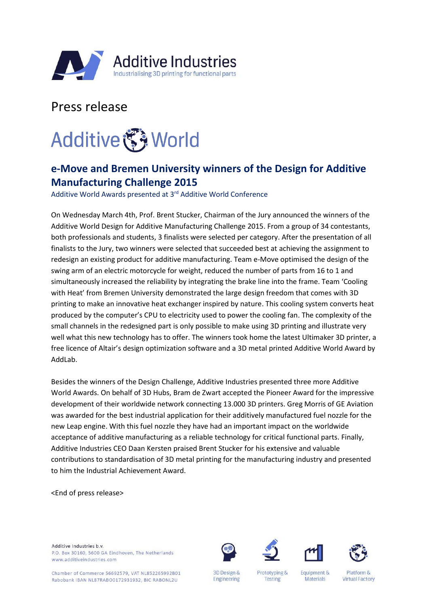

# Press release



# **e-Move and Bremen University winners of the Design for Additive Manufacturing Challenge 2015**

Additive World Awards presented at 3<sup>rd</sup> Additive World Conference

On Wednesday March 4th, Prof. Brent Stucker, Chairman of the Jury announced the winners of the Additive World Design for Additive Manufacturing Challenge 2015. From a group of 34 contestants, both professionals and students, 3 finalists were selected per category. After the presentation of all finalists to the Jury, two winners were selected that succeeded best at achieving the assignment to redesign an existing product for additive manufacturing. Team e-Move optimised the design of the swing arm of an electric motorcycle for weight, reduced the number of parts from 16 to 1 and simultaneously increased the reliability by integrating the brake line into the frame. Team 'Cooling with Heat' from Bremen University demonstrated the large design freedom that comes with 3D printing to make an innovative heat exchanger inspired by nature. This cooling system converts heat produced by the computer's CPU to electricity used to power the cooling fan. The complexity of the small channels in the redesigned part is only possible to make using 3D printing and illustrate very well what this new technology has to offer. The winners took home the latest Ultimaker 3D printer, a free licence of Altair's design optimization software and a 3D metal printed Additive World Award by AddLab.

Besides the winners of the Design Challenge, Additive Industries presented three more Additive World Awards. On behalf of 3D Hubs, Bram de Zwart accepted the Pioneer Award for the impressive development of their worldwide network connecting 13.000 3D printers. Greg Morris of GE Aviation was awarded for the best industrial application for their additively manufactured fuel nozzle for the new Leap engine. With this fuel nozzle they have had an important impact on the worldwide acceptance of additive manufacturing as a reliable technology for critical functional parts. Finally, Additive Industries CEO Daan Kersten praised Brent Stucker for his extensive and valuable contributions to standardisation of 3D metal printing for the manufacturing industry and presented to him the Industrial Achievement Award.

<End of press release>

Additive Industries b.v. P.O. Box 30160, 5600 GA Eindhoven, The Netherlands www.additiveindustries.com







**Equipment &** 

**Materials** 



Chamber of Commerce 56692579, VAT NL852265992B01 Rabobank IBAN NL87RABO0172931932, BIC RABONL2U

3D Design & **Engineering**  Prototyping & **Testing** 

Platform & **Virtual Factory**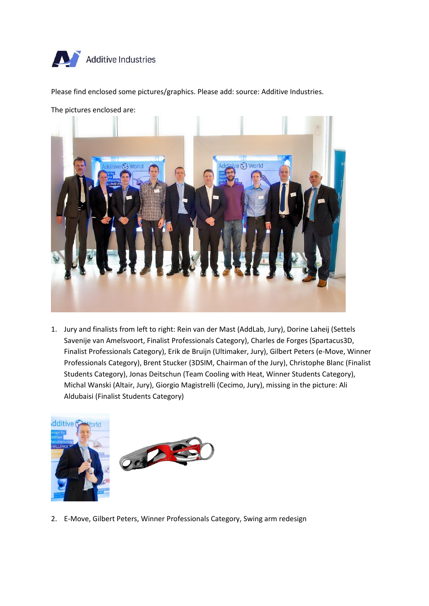

Please find enclosed some pictures/graphics. Please add: source: Additive Industries.

The pictures enclosed are:



1. Jury and finalists from left to right: Rein van der Mast (AddLab, Jury), Dorine Laheij (Settels Savenije van Amelsvoort, Finalist Professionals Category), Charles de Forges (Spartacus3D, Finalist Professionals Category), Erik de Bruijn (Ultimaker, Jury), Gilbert Peters (e-Move, Winner Professionals Category), Brent Stucker (3DSIM, Chairman of the Jury), Christophe Blanc (Finalist Students Category), Jonas Deitschun (Team Cooling with Heat, Winner Students Category), Michal Wanski (Altair, Jury), Giorgio Magistrelli (Cecimo, Jury), missing in the picture: Ali Aldubaisi (Finalist Students Category)



2. E-Move, Gilbert Peters, Winner Professionals Category, Swing arm redesign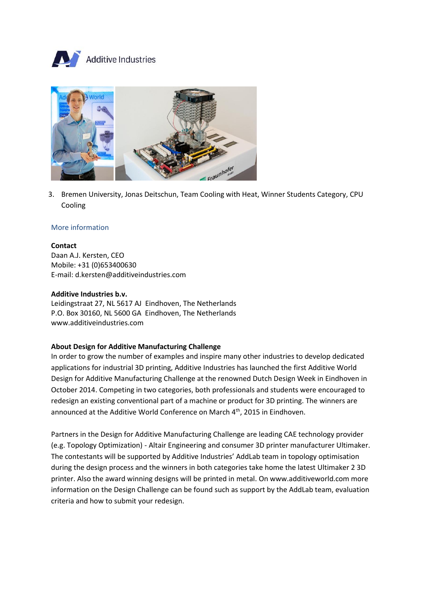



3. Bremen University, Jonas Deitschun, Team Cooling with Heat, Winner Students Category, CPU Cooling

## More information

#### **Contact**

Daan A.J. Kersten, CEO Mobile: +31 (0)653400630 E-mail: d.kersten@additiveindustries.com

#### **Additive Industries b.v.**

Leidingstraat 27, NL 5617 AJ Eindhoven, The Netherlands P.O. Box 30160, NL 5600 GA Eindhoven, The Netherlands www.additiveindustries.com

# **About Design for Additive Manufacturing Challenge**

In order to grow the number of examples and inspire many other industries to develop dedicated applications for industrial 3D printing, Additive Industries has launched the first Additive World Design for Additive Manufacturing Challenge at the renowned Dutch Design Week in Eindhoven in October 2014. Competing in two categories, both professionals and students were encouraged to redesign an existing conventional part of a machine or product for 3D printing. The winners are announced at the Additive World Conference on March 4<sup>th</sup>, 2015 in Eindhoven.

Partners in the Design for Additive Manufacturing Challenge are leading CAE technology provider (e.g. Topology Optimization) - Altair Engineering and consumer 3D printer manufacturer Ultimaker. The contestants will be supported by Additive Industries' AddLab team in topology optimisation during the design process and the winners in both categories take home the latest Ultimaker 2 3D printer. Also the award winning designs will be printed in metal. On www.additiveworld.com more information on the Design Challenge can be found such as support by the AddLab team, evaluation criteria and how to submit your redesign.